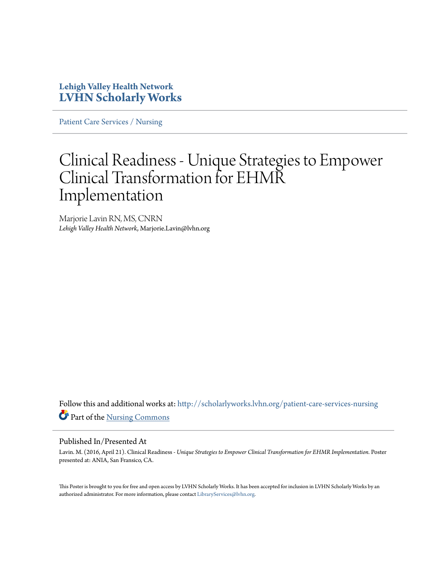### **Lehigh Valley Health Network [LVHN Scholarly Works](http://scholarlyworks.lvhn.org?utm_source=scholarlyworks.lvhn.org%2Fpatient-care-services-nursing%2F621&utm_medium=PDF&utm_campaign=PDFCoverPages)**

[Patient Care Services / Nursing](http://scholarlyworks.lvhn.org/patient-care-services-nursing?utm_source=scholarlyworks.lvhn.org%2Fpatient-care-services-nursing%2F621&utm_medium=PDF&utm_campaign=PDFCoverPages)

### Clinical Readiness - Unique Strategies to Empower Clinical Transformation for EHMR Implementation

Marjorie Lavin RN, MS, CNRN *Lehigh Valley Health Network*, Marjorie.Lavin@lvhn.org

Follow this and additional works at: [http://scholarlyworks.lvhn.org/patient-care-services-nursing](http://scholarlyworks.lvhn.org/patient-care-services-nursing?utm_source=scholarlyworks.lvhn.org%2Fpatient-care-services-nursing%2F621&utm_medium=PDF&utm_campaign=PDFCoverPages) Part of the [Nursing Commons](http://network.bepress.com/hgg/discipline/718?utm_source=scholarlyworks.lvhn.org%2Fpatient-care-services-nursing%2F621&utm_medium=PDF&utm_campaign=PDFCoverPages)

### Published In/Presented At

Lavin. M. (2016, April 21). Clinical Readiness - *Unique Strategies to Empower Clinical Transformation for EHMR Implementation.* Poster presented at: ANIA, San Fransico, CA.

This Poster is brought to you for free and open access by LVHN Scholarly Works. It has been accepted for inclusion in LVHN Scholarly Works by an authorized administrator. For more information, please contact [LibraryServices@lvhn.org.](mailto:LibraryServices@lvhn.org)